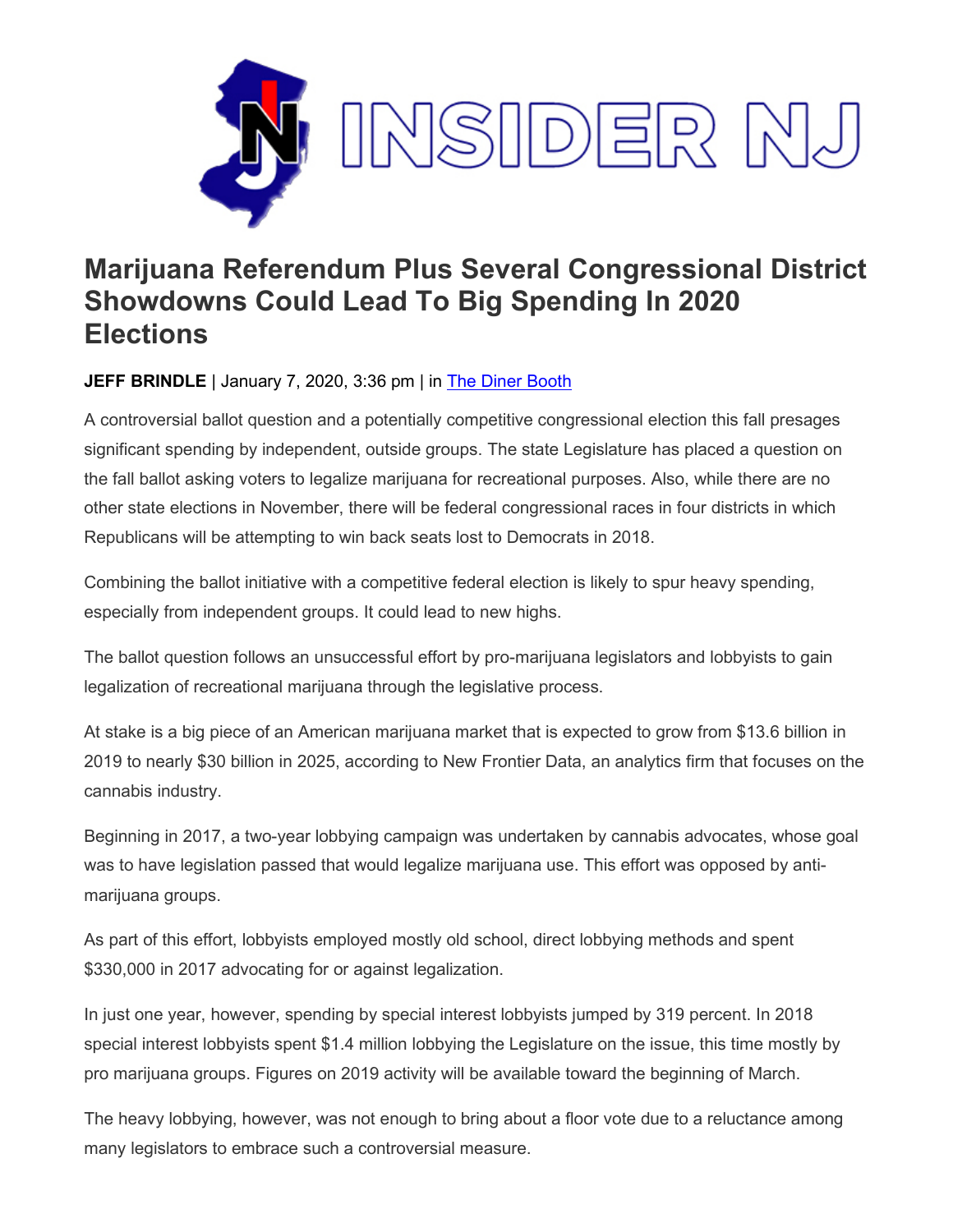

## **Marijuana Referendum Plus Several Congressional District Showdowns Could Lead To Big Spending In 2020 Elections**

## **JEFF BRINDLE** | January 7, 2020, 3:36 pm | in [The Diner Booth](https://www.insidernj.com/category/the-diner-booth/)

A controversial ballot question and a potentially competitive congressional election this fall presages significant spending by independent, outside groups. The state Legislature has placed a question on the fall ballot asking voters to legalize marijuana for recreational purposes. Also, while there are no other state elections in November, there will be federal congressional races in four districts in which Republicans will be attempting to win back seats lost to Democrats in 2018.

Combining the ballot initiative with a competitive federal election is likely to spur heavy spending, especially from independent groups. It could lead to new highs.

The ballot question follows an unsuccessful effort by pro-marijuana legislators and lobbyists to gain legalization of recreational marijuana through the legislative process.

At stake is a big piece of an American marijuana market that is expected to grow from \$13.6 billion in 2019 to nearly \$30 billion in 2025, according to New Frontier Data, an analytics firm that focuses on the cannabis industry.

Beginning in 2017, a two-year lobbying campaign was undertaken by cannabis advocates, whose goal was to have legislation passed that would legalize marijuana use. This effort was opposed by antimarijuana groups.

As part of this effort, lobbyists employed mostly old school, direct lobbying methods and spent \$330,000 in 2017 advocating for or against legalization.

In just one year, however, spending by special interest lobbyists jumped by 319 percent. In 2018 special interest lobbyists spent \$1.4 million lobbying the Legislature on the issue, this time mostly by pro marijuana groups. Figures on 2019 activity will be available toward the beginning of March.

The heavy lobbying, however, was not enough to bring about a floor vote due to a reluctance among many legislators to embrace such a controversial measure.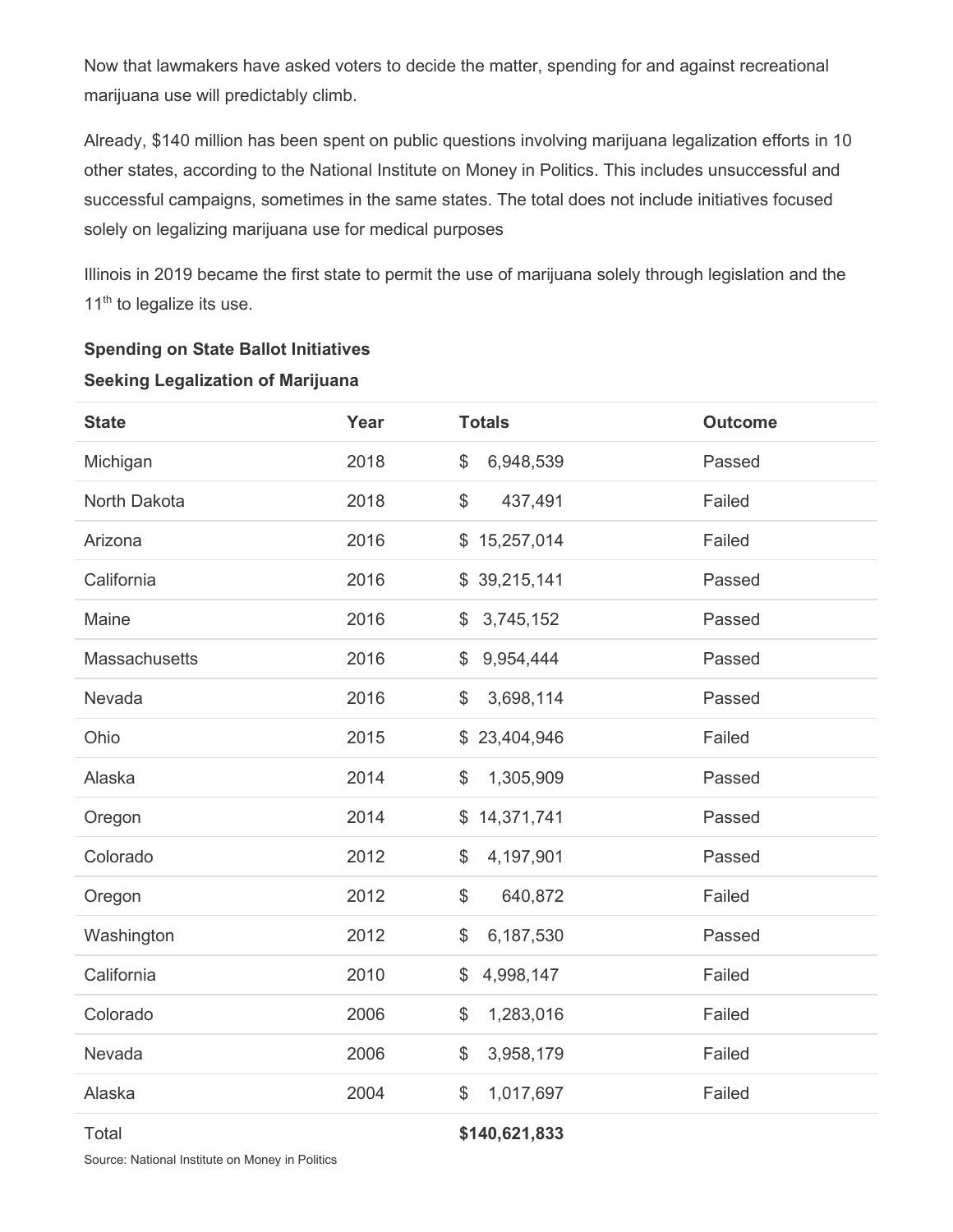Now that lawmakers have asked voters to decide the matter, spending for and against recreational marijuana use will predictably climb.

Already, \$140 million has been spent on public questions involving marijuana legalization efforts in 10 other states, according to the National Institute on Money in Politics. This includes unsuccessful and successful campaigns, sometimes in the same states. The total does not include initiatives focused solely on legalizing marijuana use for medical purposes

Illinois in 2019 became the first state to permit the use of marijuana solely through legislation and the 11<sup>th</sup> to legalize its use.

| <b>State</b>  | Year | <b>Totals</b>              | <b>Outcome</b> |
|---------------|------|----------------------------|----------------|
| Michigan      | 2018 | \$<br>6,948,539            | Passed         |
| North Dakota  | 2018 | \$<br>437,491              | Failed         |
| Arizona       | 2016 | \$15,257,014               | Failed         |
| California    | 2016 | \$39,215,141               | Passed         |
| Maine         | 2016 | 3,745,152<br>$\mathcal{L}$ | Passed         |
| Massachusetts | 2016 | 9,954,444<br>\$            | Passed         |
| Nevada        | 2016 | 3,698,114<br>\$            | Passed         |
| Ohio          | 2015 | \$23,404,946               | Failed         |
| Alaska        | 2014 | \$<br>1,305,909            | Passed         |
| Oregon        | 2014 | \$14,371,741               | Passed         |
| Colorado      | 2012 | \$<br>4,197,901            | Passed         |
| Oregon        | 2012 | \$<br>640,872              | Failed         |
| Washington    | 2012 | \$<br>6,187,530            | Passed         |
| California    | 2010 | \$<br>4,998,147            | Failed         |
| Colorado      | 2006 | \$<br>1,283,016            | Failed         |
| Nevada        | 2006 | 3,958,179<br>\$            | Failed         |
| Alaska        | 2004 | \$<br>1,017,697            | Failed         |
|               |      |                            |                |

## **Spending on State Ballot Initiatives**

## **Seeking Legalization of Marijuana**

Total **\$140,621,833**

Source: National Institute on Money in Politics